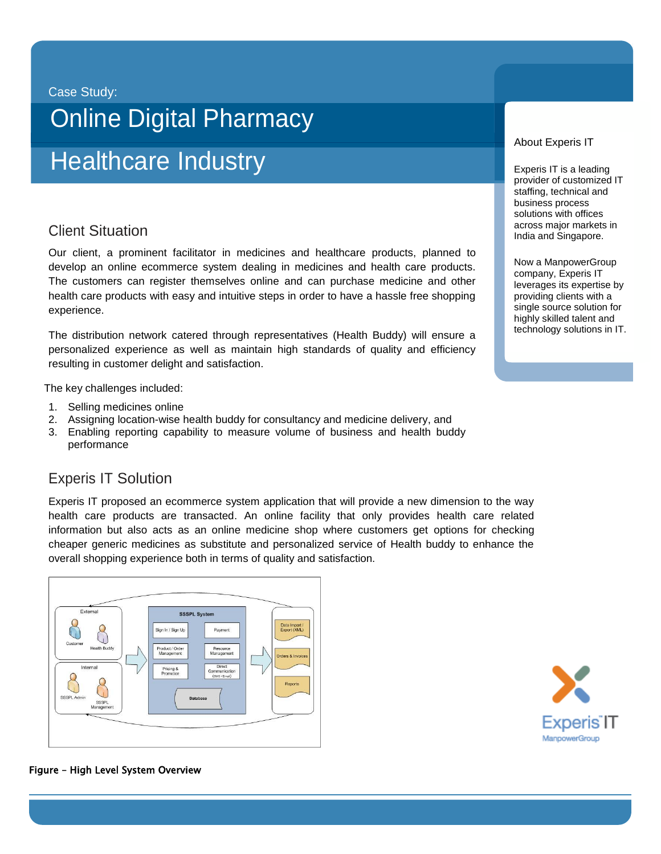#### Case Study:

# Online Digital Pharmacy

# Healthcare Industry

## $\sim$ Client Situation

Our client, a prominent facilitator in medicines and healthcare products, planned to develop an online ecommerce system dealing in medicines and health care products. The customers can register themselves online and can purchase medicine and other health care products with easy and intuitive steps in order to have a hassle free shopping experience.

The distribution network catered through representatives (Health Buddy) will ensure a personalized experience as well as maintain high standards of quality and efficiency resulting in customer delight and satisfaction.

The key challenges included:

- 1. Selling medicines online
- 2. Assigning location-wise health buddy for consultancy and medicine delivery, and
- 3. Enabling reporting capability to measure volume of business and health buddy performance

### Experis IT Solution

Experis IT proposed an ecommerce system application that will provide a new dimension to the way health care products are transacted. An online facility that only provides health care related information but also acts as an online medicine shop where customers get options for checking cheaper generic medicines as substitute and personalized service of Health buddy to enhance the overall shopping experience both in terms of quality and satisfaction.



#### About Experis IT

Experis IT is a leading provider of customized IT staffing, technical and business process solutions with offices across major markets in India and Singapore.

Now a ManpowerGroup company, Experis IT leverages its expertise by providing clients with a single source solution for highly skilled talent and technology solutions in IT.



#### Figure – High Level System Overview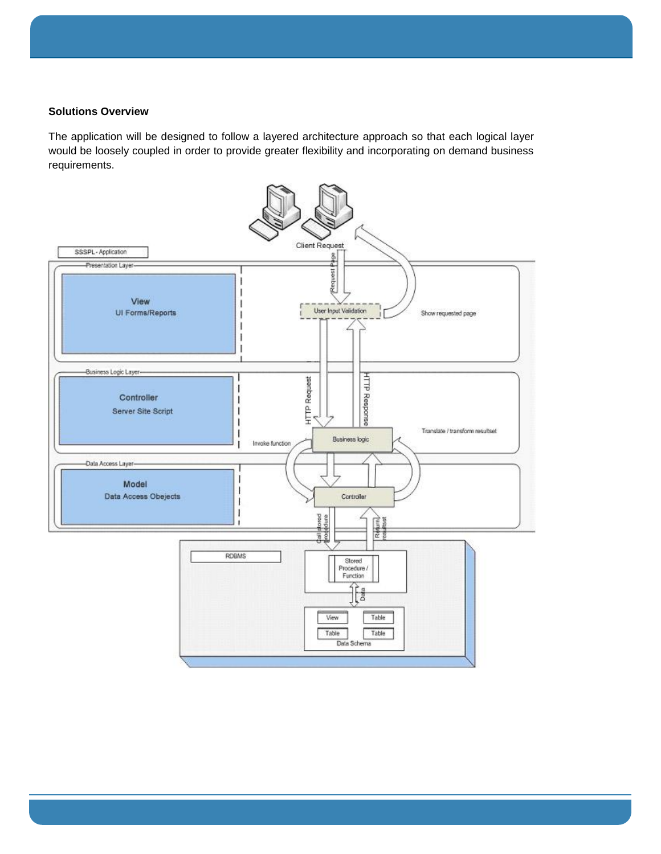#### **Solutions Overview**

The application will be designed to follow a layered architecture approach so that each logical layer would be loosely coupled in order to provide greater flexibility and incorporating on demand business requirements.